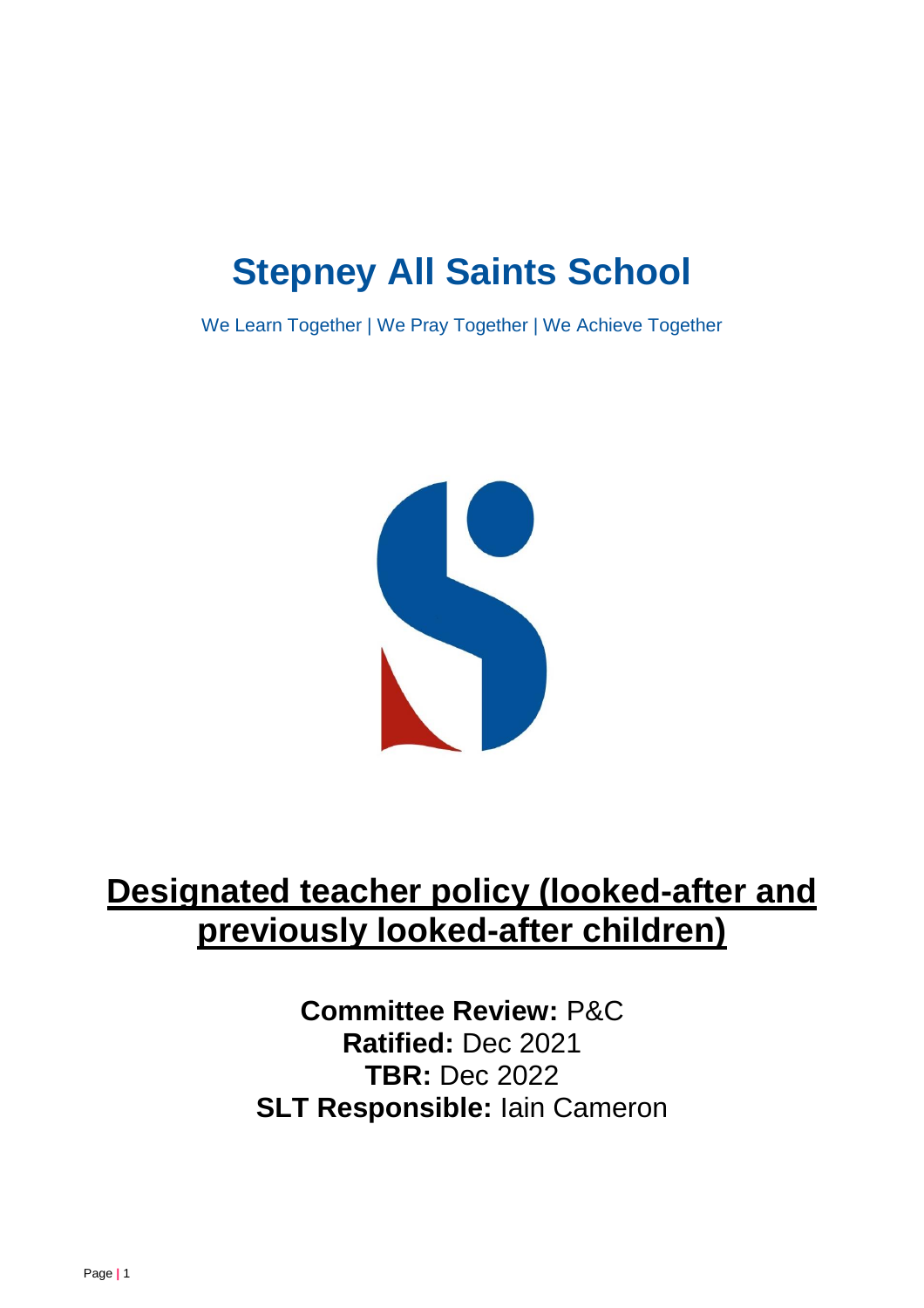# **Stepney All Saints School**

We Learn Together | We Pray Together | We Achieve Together



## **Designated teacher policy (looked-after and previously looked-after children)**

**Committee Review:** P&C **Ratified:** Dec 2021 **TBR:** Dec 2022 **SLT Responsible:** Iain Cameron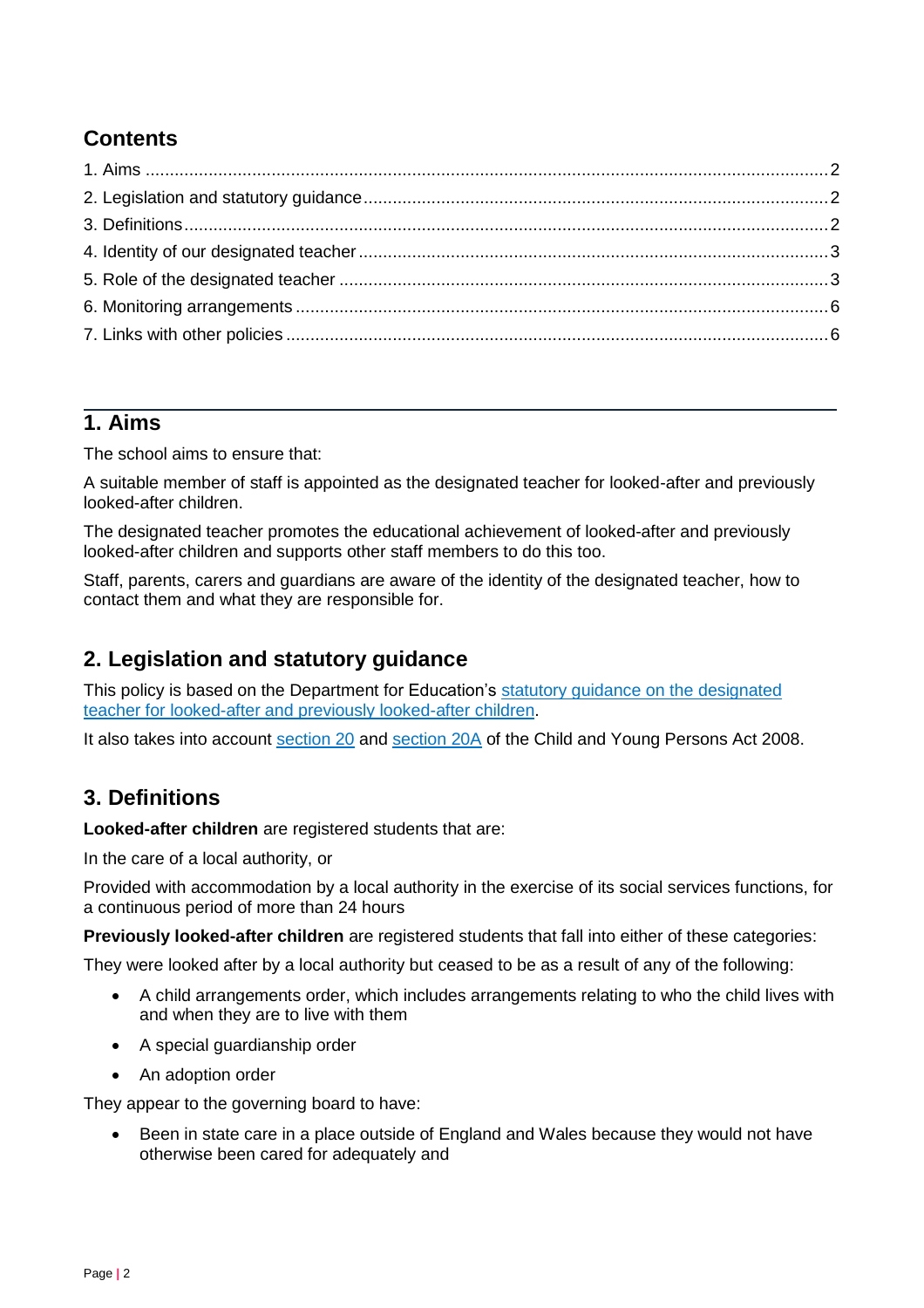## **Contents**

## <span id="page-1-0"></span>**1. Aims**

The school aims to ensure that:

A suitable member of staff is appointed as the designated teacher for looked-after and previously looked-after children.

The designated teacher promotes the educational achievement of looked-after and previously looked-after children and supports other staff members to do this too.

Staff, parents, carers and guardians are aware of the identity of the designated teacher, how to contact them and what they are responsible for.

## <span id="page-1-1"></span>**2. Legislation and statutory guidance**

This policy is based on the Department for Education's [statutory guidance on the designated](https://www.gov.uk/government/publications/designated-teacher-for-looked-after-children)  [teacher for looked-after and previously looked-after children.](https://www.gov.uk/government/publications/designated-teacher-for-looked-after-children)

It also takes into account [section 20](http://www.legislation.gov.uk/ukpga/2008/23/section/20) and [section 20A](http://www.legislation.gov.uk/ukpga/2008/23/section/20A) of the Child and Young Persons Act 2008.

## <span id="page-1-2"></span>**3. Definitions**

**Looked-after children** are registered students that are:

In the care of a local authority, or

Provided with accommodation by a local authority in the exercise of its social services functions, for a continuous period of more than 24 hours

**Previously looked-after children** are registered students that fall into either of these categories:

They were looked after by a local authority but ceased to be as a result of any of the following:

- A child arrangements order, which includes arrangements relating to who the child lives with and when they are to live with them
- A special guardianship order
- An adoption order

They appear to the governing board to have:

 Been in state care in a place outside of England and Wales because they would not have otherwise been cared for adequately and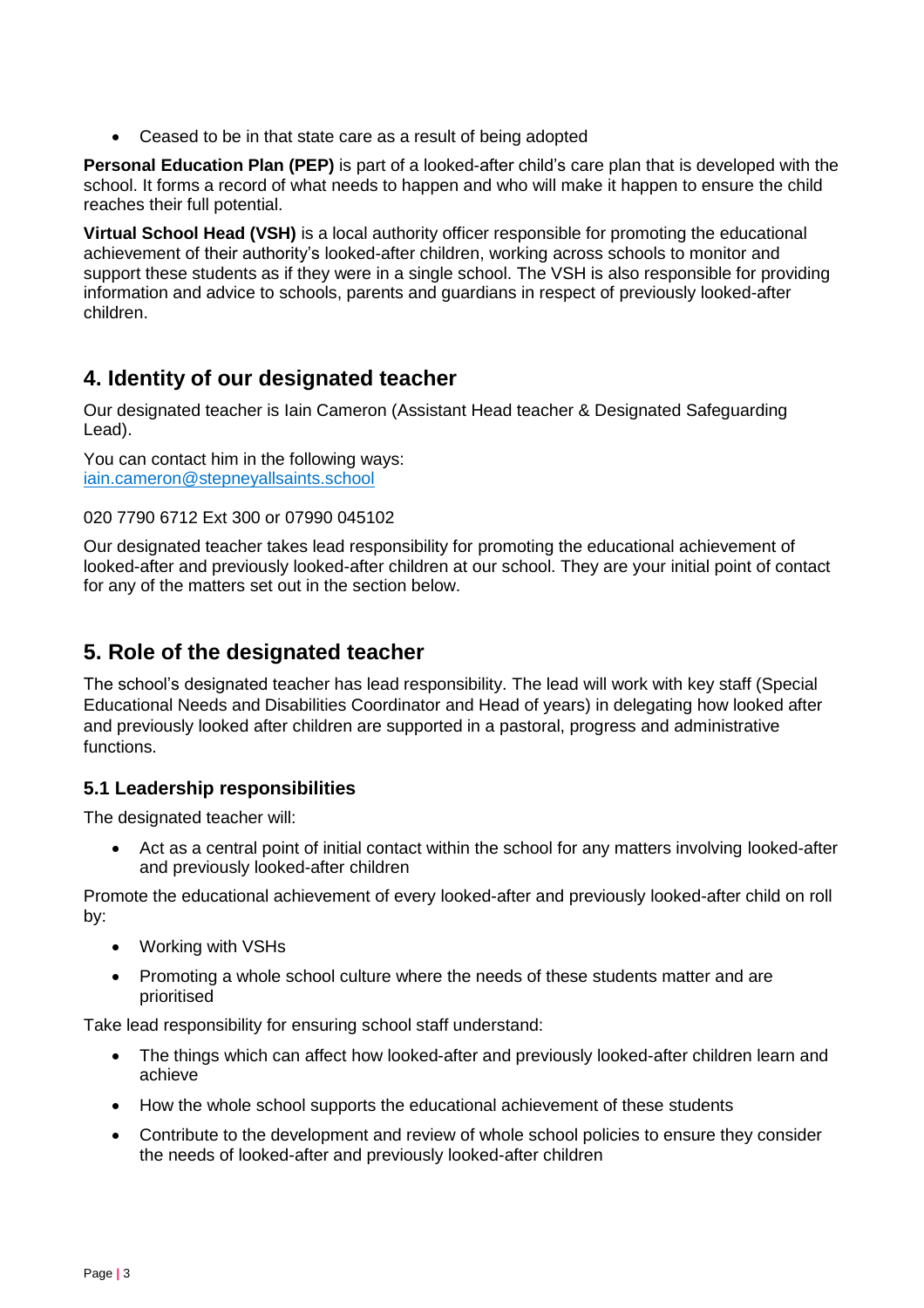Ceased to be in that state care as a result of being adopted

**Personal Education Plan (PEP)** is part of a looked-after child's care plan that is developed with the school. It forms a record of what needs to happen and who will make it happen to ensure the child reaches their full potential.

**Virtual School Head (VSH)** is a local authority officer responsible for promoting the educational achievement of their authority's looked-after children, working across schools to monitor and support these students as if they were in a single school. The VSH is also responsible for providing information and advice to schools, parents and guardians in respect of previously looked-after children.

## <span id="page-2-0"></span>**4. Identity of our designated teacher**

Our designated teacher is Iain Cameron (Assistant Head teacher & Designated Safeguarding Lead).

You can contact him in the following ways: [iain.cameron@stepneyallsaints.school](mailto:iain.cameron@stepneyallsaints.school)

#### 020 7790 6712 Ext 300 or 07990 045102

Our designated teacher takes lead responsibility for promoting the educational achievement of looked-after and previously looked-after children at our school. They are your initial point of contact for any of the matters set out in the section below.

## <span id="page-2-1"></span>**5. Role of the designated teacher**

The school's designated teacher has lead responsibility. The lead will work with key staff (Special Educational Needs and Disabilities Coordinator and Head of years) in delegating how looked after and previously looked after children are supported in a pastoral, progress and administrative functions.

#### **5.1 Leadership responsibilities**

The designated teacher will:

 Act as a central point of initial contact within the school for any matters involving looked-after and previously looked-after children

Promote the educational achievement of every looked-after and previously looked-after child on roll by:

- Working with VSHs
- Promoting a whole school culture where the needs of these students matter and are prioritised

Take lead responsibility for ensuring school staff understand:

- The things which can affect how looked-after and previously looked-after children learn and achieve
- How the whole school supports the educational achievement of these students
- Contribute to the development and review of whole school policies to ensure they consider the needs of looked-after and previously looked-after children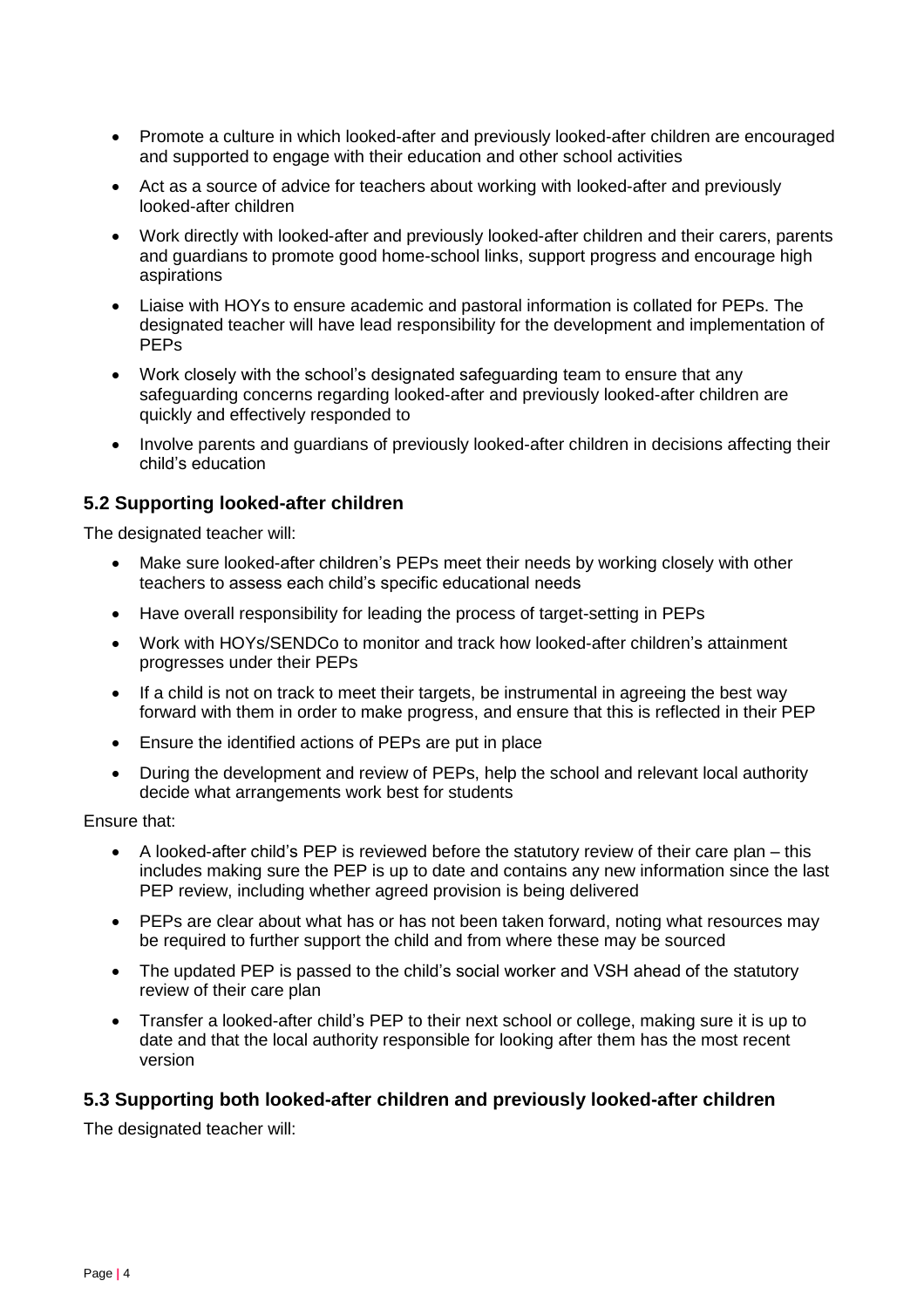- Promote a culture in which looked-after and previously looked-after children are encouraged and supported to engage with their education and other school activities
- Act as a source of advice for teachers about working with looked-after and previously looked-after children
- Work directly with looked-after and previously looked-after children and their carers, parents and guardians to promote good home-school links, support progress and encourage high aspirations
- Liaise with HOYs to ensure academic and pastoral information is collated for PEPs. The designated teacher will have lead responsibility for the development and implementation of PEPs
- Work closely with the school's designated safeguarding team to ensure that any safeguarding concerns regarding looked-after and previously looked-after children are quickly and effectively responded to
- Involve parents and guardians of previously looked-after children in decisions affecting their child's education

#### **5.2 Supporting looked-after children**

The designated teacher will:

- Make sure looked-after children's PEPs meet their needs by working closely with other teachers to assess each child's specific educational needs
- Have overall responsibility for leading the process of target-setting in PEPs
- Work with HOYs/SENDCo to monitor and track how looked-after children's attainment progresses under their PEPs
- If a child is not on track to meet their targets, be instrumental in agreeing the best way forward with them in order to make progress, and ensure that this is reflected in their PEP
- Ensure the identified actions of PEPs are put in place
- During the development and review of PEPs, help the school and relevant local authority decide what arrangements work best for students

Ensure that:

- A looked-after child's PEP is reviewed before the statutory review of their care plan this includes making sure the PEP is up to date and contains any new information since the last PEP review, including whether agreed provision is being delivered
- PEPs are clear about what has or has not been taken forward, noting what resources may be required to further support the child and from where these may be sourced
- The updated PEP is passed to the child's social worker and VSH ahead of the statutory review of their care plan
- Transfer a looked-after child's PEP to their next school or college, making sure it is up to date and that the local authority responsible for looking after them has the most recent version

#### **5.3 Supporting both looked-after children and previously looked-after children**

The designated teacher will: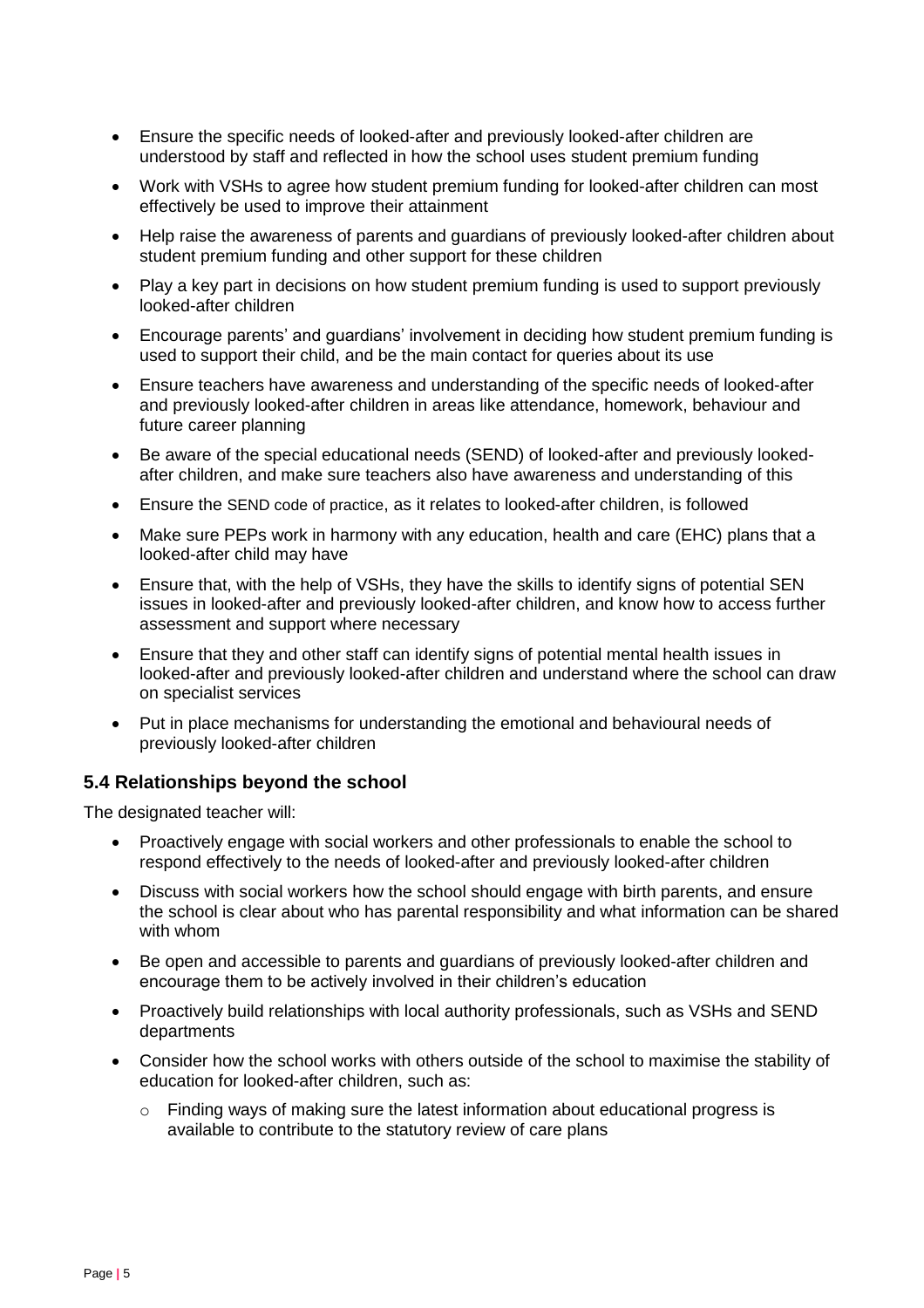- Ensure the specific needs of looked-after and previously looked-after children are understood by staff and reflected in how the school uses student premium funding
- Work with VSHs to agree how student premium funding for looked-after children can most effectively be used to improve their attainment
- Help raise the awareness of parents and guardians of previously looked-after children about student premium funding and other support for these children
- Play a key part in decisions on how student premium funding is used to support previously looked-after children
- Encourage parents' and guardians' involvement in deciding how student premium funding is used to support their child, and be the main contact for queries about its use
- Ensure teachers have awareness and understanding of the specific needs of looked-after and previously looked-after children in areas like attendance, homework, behaviour and future career planning
- Be aware of the special educational needs (SEND) of looked-after and previously lookedafter children, and make sure teachers also have awareness and understanding of this
- Ensure the [SEND code of practice](https://www.gov.uk/government/publications/send-code-of-practice-0-to-25), as it relates to looked-after children, is followed
- Make sure PEPs work in harmony with any education, health and care (EHC) plans that a looked-after child may have
- Ensure that, with the help of VSHs, they have the skills to identify signs of potential SEN issues in looked-after and previously looked-after children, and know how to access further assessment and support where necessary
- Ensure that they and other staff can identify signs of potential mental health issues in looked-after and previously looked-after children and understand where the school can draw on specialist services
- Put in place mechanisms for understanding the emotional and behavioural needs of previously looked-after children

#### **5.4 Relationships beyond the school**

The designated teacher will:

- Proactively engage with social workers and other professionals to enable the school to respond effectively to the needs of looked-after and previously looked-after children
- Discuss with social workers how the school should engage with birth parents, and ensure the school is clear about who has parental responsibility and what information can be shared with whom
- Be open and accessible to parents and guardians of previously looked-after children and encourage them to be actively involved in their children's education
- Proactively build relationships with local authority professionals, such as VSHs and SEND departments
- Consider how the school works with others outside of the school to maximise the stability of education for looked-after children, such as:
	- o Finding ways of making sure the latest information about educational progress is available to contribute to the statutory review of care plans